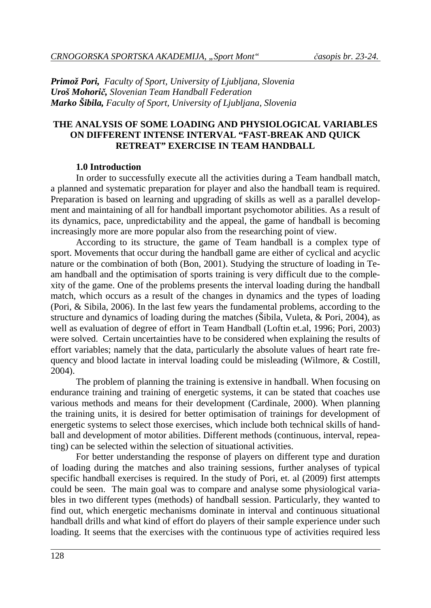*Primož Pori, Faculty of Sport, University of Ljubljana, Slovenia Uroš Mohorič, Slovenian Team Handball Federation Marko Šibila, Faculty of Sport, University of Ljubljana, Slovenia*

### **THE ANALYSIS OF SOME LOADING AND PHYSIOLOGICAL VARIABLES ON DIFFERENT INTENSE INTERVAL "FAST-BREAK AND QUICK RETREAT" EXERCISE IN TEAM HANDBALL**

#### **1.0 Introduction**

In order to successfully execute all the activities during a Team handball match, a planned and systematic preparation for player and also the handball team is required. Preparation is based on learning and upgrading of skills as well as a parallel development and maintaining of all for handball important psychomotor abilities. As a result of its dynamics, pace, unpredictability and the appeal, the game of handball is becoming increasingly more are more popular also from the researching point of view.

According to its structure, the game of Team handball is a complex type of sport. Movements that occur during the handball game are either of cyclical and acyclic nature or the combination of both (Bon, 2001). Studying the structure of loading in Team handball and the optimisation of sports training is very difficult due to the complexity of the game. One of the problems presents the interval loading during the handball match, which occurs as a result of the changes in dynamics and the types of loading (Pori, & Sibila, 2006). In the last few years the fundamental problems, according to the structure and dynamics of loading during the matches (Šibila, Vuleta, & Pori, 2004), as well as evaluation of degree of effort in Team Handball (Loftin et.al, 1996; Pori, 2003) were solved. Certain uncertainties have to be considered when explaining the results of effort variables; namely that the data, particularly the absolute values of heart rate frequency and blood lactate in interval loading could be misleading (Wilmore, & Costill, 2004).

The problem of planning the training is extensive in handball. When focusing on endurance training and training of energetic systems, it can be stated that coaches use various methods and means for their development (Cardinale, 2000). When planning the training units, it is desired for better optimisation of trainings for development of energetic systems to select those exercises, which include both technical skills of handball and development of motor abilities. Different methods (continuous, interval, repeating) can be selected within the selection of situational activities.

For better understanding the response of players on different type and duration of loading during the matches and also training sessions, further analyses of typical specific handball exercises is required. In the study of Pori, et. al (2009) first attempts could be seen. The main goal was to compare and analyse some physiological variables in two different types (methods) of handball session. Particularly, they wanted to find out, which energetic mechanisms dominate in interval and continuous situational handball drills and what kind of effort do players of their sample experience under such loading. It seems that the exercises with the continuous type of activities required less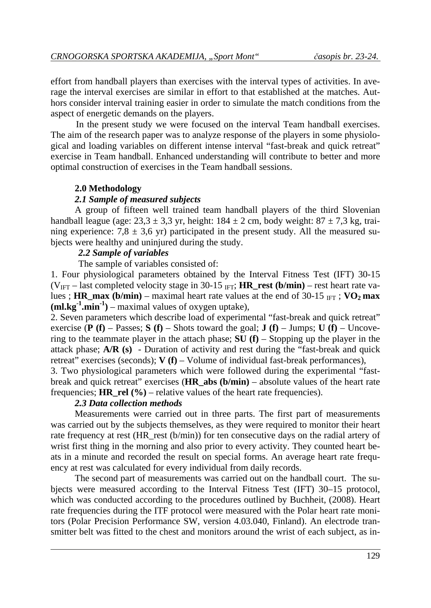effort from handball players than exercises with the interval types of activities. In average the interval exercises are similar in effort to that established at the matches. Authors consider interval training easier in order to simulate the match conditions from the aspect of energetic demands on the players.

In the present study we were focused on the interval Team handball exercises. The aim of the research paper was to analyze response of the players in some physiological and loading variables on different intense interval "fast-break and quick retreat" exercise in Team handball. Enhanced understanding will contribute to better and more optimal construction of exercises in the Team handball sessions.

# **2.0 Methodology**

# *2.1 Sample of measured subjects*

A group of fifteen well trained team handball players of the third Slovenian handball league (age:  $23.3 \pm 3.3$  yr, height:  $184 \pm 2$  cm, body weight:  $87 \pm 7.3$  kg, training experience: 7,8  $\pm$  3,6 yr) participated in the present study. All the measured subjects were healthy and uninjured during the study.

# *2.2 Sample of variables*

The sample of variables consisted of:

1. Four physiological parameters obtained by the Interval Fitness Test (IFT) 30-15  $(V<sub>IFT</sub> - last completed velocity stage in 30-15 <sub>IFT</sub>; HR rest (b/min) - rest heart rate va$ lues ; **HR\_max (b/min)** – maximal heart rate values at the end of 30-15  $_{\text{IFT}}$  ; **VO<sub>2</sub> max**  $(ml.kg^{-1}.min^{-1})$  – maximal values of oxygen uptake),

2. Seven parameters which describe load of experimental "fast-break and quick retreat" exercise  $(P(f) - Passes$ ;  $S(f) - Shorts$  toward the goal;  $J(f) - Jumps$ ;  $U(f) - Uncove$ ring to the teammate player in the attach phase;  $SU(f)$  – Stopping up the player in the attack phase; **A/R (s)** - Duration of activity and rest during the "fast-break and quick retreat" exercises (seconds); **V (f)** – Volume of individual fast-break performances),

3. Two physiological parameters which were followed during the experimental "fastbreak and quick retreat" exercises (**HR\_abs (b/min)** – absolute values of the heart rate frequencies; **HR** rel  $(\%)$  – relative values of the heart rate frequencies).

# *2.3 Data collection methods*

Measurements were carried out in three parts. The first part of measurements was carried out by the subjects themselves, as they were required to monitor their heart rate frequency at rest (HR\_rest (b/min)) for ten consecutive days on the radial artery of wrist first thing in the morning and also prior to every activity. They counted heart beats in a minute and recorded the result on special forms. An average heart rate frequency at rest was calculated for every individual from daily records.

The second part of measurements was carried out on the handball court. The subjects were measured according to the Interval Fitness Test (IFT) 30–15 protocol, which was conducted according to the procedures outlined by Buchheit, (2008). Heart rate frequencies during the ITF protocol were measured with the Polar heart rate monitors (Polar Precision Performance SW, version 4.03.040, Finland). An electrode transmitter belt was fitted to the chest and monitors around the wrist of each subject, as in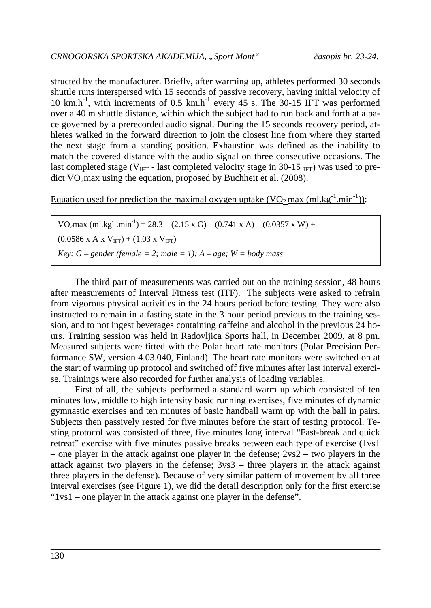structed by the manufacturer. Briefly, after warming up, athletes performed 30 seconds shuttle runs interspersed with 15 seconds of passive recovery, having initial velocity of 10 km.h<sup>-1</sup>, with increments of 0.5 km.h<sup>-1</sup> every 45 s. The 30-15 IFT was performed over a 40 m shuttle distance, within which the subject had to run back and forth at a pace governed by a prerecorded audio signal. During the 15 seconds recovery period, athletes walked in the forward direction to join the closest line from where they started the next stage from a standing position. Exhaustion was defined as the inability to match the covered distance with the audio signal on three consecutive occasions. The last completed stage ( $V_{\text{IFT}}$  - last completed velocity stage in 30-15 <sub>IFT</sub>) was used to predict  $VO<sub>2</sub>max$  using the equation, proposed by Buchheit et al. (2008).

Equation used for prediction the maximal oxygen uptake  $(VO_2 \text{ max (ml.kg}^{-1} \text{.min}^{-1}))$ :

VO<sub>2</sub>max (ml.kg<sup>-1</sup>.min<sup>-1</sup>) = 28.3 – (2.15 x G) – (0.741 x A) – (0.0357 x W) +  $(0.0586 \text{ x A x V}_{\text{IFT}}) + (1.03 \text{ x V}_{\text{IFT}})$ *Key: G – gender (female = 2; male = 1); A – age; W = body mass* 

The third part of measurements was carried out on the training session, 48 hours after measurements of Interval Fitness test (ITF). The subjects were asked to refrain from vigorous physical activities in the 24 hours period before testing. They were also instructed to remain in a fasting state in the 3 hour period previous to the training session, and to not ingest beverages containing caffeine and alcohol in the previous 24 hours. Training session was held in Radovljica Sports hall, in December 2009, at 8 pm. Measured subjects were fitted with the Polar heart rate monitors (Polar Precision Performance SW, version 4.03.040, Finland). The heart rate monitors were switched on at the start of warming up protocol and switched off five minutes after last interval exercise. Trainings were also recorded for further analysis of loading variables.

First of all, the subjects performed a standard warm up which consisted of ten minutes low, middle to high intensity basic running exercises, five minutes of dynamic gymnastic exercises and ten minutes of basic handball warm up with the ball in pairs. Subjects then passively rested for five minutes before the start of testing protocol. Testing protocol was consisted of three, five minutes long interval "Fast-break and quick retreat" exercise with five minutes passive breaks between each type of exercise (1vs1 – one player in the attack against one player in the defense; 2vs2 – two players in the attack against two players in the defense; 3vs3 – three players in the attack against three players in the defense). Because of very similar pattern of movement by all three interval exercises (see Figure 1), we did the detail description only for the first exercise "1vs1 – one player in the attack against one player in the defense".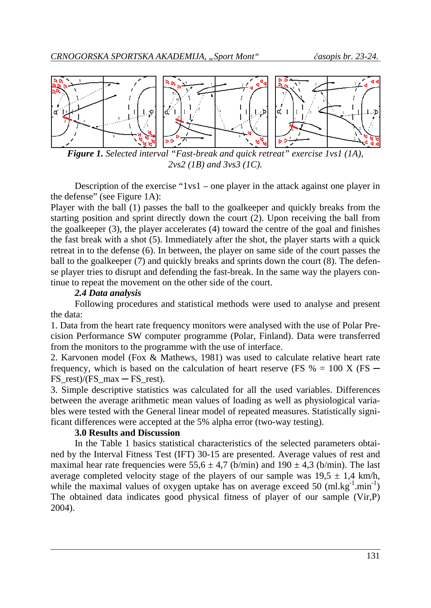

*Figure 1. Selected interval "Fast-break and quick retreat" exercise 1vs1 (1A), 2vs2 (1B) and 3vs3 (1C).* 

Description of the exercise "1vs1 – one player in the attack against one player in the defense" (see Figure 1A):

Player with the ball (1) passes the ball to the goalkeeper and quickly breaks from the starting position and sprint directly down the court (2). Upon receiving the ball from the goalkeeper (3), the player accelerates (4) toward the centre of the goal and finishes the fast break with a shot (5). Immediately after the shot, the player starts with a quick retreat in to the defense (6). In between, the player on same side of the court passes the ball to the goalkeeper (7) and quickly breaks and sprints down the court (8). The defense player tries to disrupt and defending the fast-break. In the same way the players continue to repeat the movement on the other side of the court.

### *2.4 Data analysis*

Following procedures and statistical methods were used to analyse and present the data:

1. Data from the heart rate frequency monitors were analysed with the use of Polar Precision Performance SW computer programme (Polar, Finland). Data were transferred from the monitors to the programme with the use of interface.

2. Karvonen model (Fox & Mathews, 1981) was used to calculate relative heart rate frequency, which is based on the calculation of heart reserve (FS  $% = 100$  X (FS  $-$ FS rest)/(FS max  $-$  FS rest).

3. Simple descriptive statistics was calculated for all the used variables. Differences between the average arithmetic mean values of loading as well as physiological variables were tested with the General linear model of repeated measures. Statistically significant differences were accepted at the 5% alpha error (two-way testing).

# **3.0 Results and Discussion**

In the Table 1 basics statistical characteristics of the selected parameters obtained by the Interval Fitness Test (IFT) 30-15 are presented. Average values of rest and maximal hear rate frequencies were  $55.6 \pm 4.7$  (b/min) and  $190 \pm 4.3$  (b/min). The last average completed velocity stage of the players of our sample was  $19.5 \pm 1.4$  km/h, while the maximal values of oxygen uptake has on average exceed 50  $(ml.kg^{-1}.min^{-1})$ The obtained data indicates good physical fitness of player of our sample (Vir,P) 2004).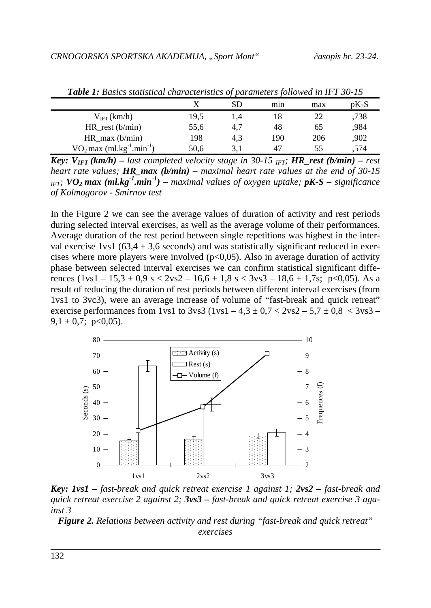|                           |      | SD  | mın | max | $pK-S$ |
|---------------------------|------|-----|-----|-----|--------|
| $V_{IFT}(km/h)$           | 19,5 | 1,4 | 18  |     | ,738   |
| $HR_{rest}$ (b/min)       | 55,6 | 4,7 | 48  | 65  | .984   |
| $HR_{max}$ ( $b/min$ )    | 198  | 4.3 | 190 | 206 | ,902   |
| $VO2 max (ml.kg-1.min-1)$ | 50,6 | 3.1 | 47  | 55  | .574   |

*Table 1: Basics statistical characteristics of parameters followed in IFT 30-15* 

*Key:*  $V_{IFT}(km/h)$  – last completed velocity stage in 30-15 <sub>IFT</sub>; **HR\_rest (b/min)** – rest *heart rate values; HR\_max (b/min) – maximal heart rate values at the end of 30-15 IFT;*  $VO_2$  max (ml.kg<sup>-1</sup>.min<sup>-1</sup>) – *maximal values of oxygen uptake;*  $pK-S$  – *significance of Kolmogorov - Smirnov test*

In the Figure 2 we can see the average values of duration of activity and rest periods during selected interval exercises, as well as the average volume of their performances. Average duration of the rest period between single repetitions was highest in the interval exercise 1vs1 (63,4  $\pm$  3,6 seconds) and was statistically significant reduced in exercises where more players were involved  $(p<0,05)$ . Also in average duration of activity phase between selected interval exercises we can confirm statistical significant differences  $(1vs1 - 15.3 \pm 0.9 \text{ s} < 2vs2 - 16.6 \pm 1.8 \text{ s} < 3vs3 - 18.6 \pm 1.7 \text{ s}; \text{ p} < 0.05)$ . As a result of reducing the duration of rest periods between different interval exercises (from 1vs1 to 3vc3), were an average increase of volume of "fast-break and quick retreat" exercise performances from 1vs1 to 3vs3  $(1 \text{vs} 1 - 4.3 \pm 0.7 \times 2 \text{vs} 2 - 5.7 \pm 0.8 \times 3 \text{vs} 3 - 1.7 \times 10^{-1} \text{J} \cdot \text{m}^2)$  $9,1 \pm 0.7$ ; p<0.05).



*Key: 1vs1 – fast-break and quick retreat exercise 1 against 1; 2vs2 – fast-break and quick retreat exercise 2 against 2; 3vs3 – fast-break and quick retreat exercise 3 against 3* 

*Figure 2. Relations between activity and rest during "fast-break and quick retreat" exercises*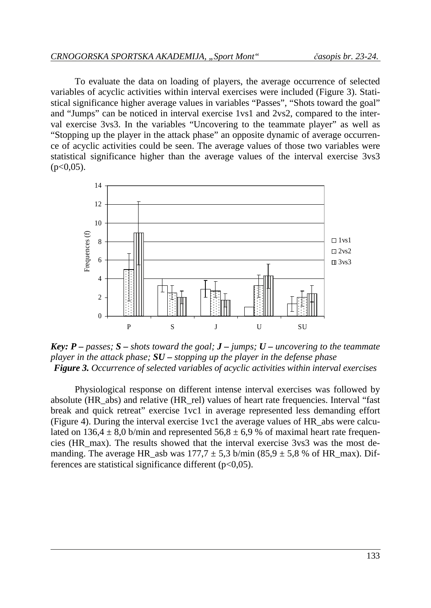To evaluate the data on loading of players, the average occurrence of selected variables of acyclic activities within interval exercises were included (Figure 3). Statistical significance higher average values in variables "Passes", "Shots toward the goal" and "Jumps" can be noticed in interval exercise 1vs1 and 2vs2, compared to the interval exercise 3vs3. In the variables "Uncovering to the teammate player" as well as "Stopping up the player in the attack phase" an opposite dynamic of average occurrence of acyclic activities could be seen. The average values of those two variables were statistical significance higher than the average values of the interval exercise 3vs3  $(p<0.05)$ .



*Key: P – passes; S – shots toward the goal; J – jumps; U – uncovering to the teammate player in the attack phase; SU – stopping up the player in the defense phase Figure 3. Occurrence of selected variables of acyclic activities within interval exercises* 

Physiological response on different intense interval exercises was followed by absolute (HR\_abs) and relative (HR\_rel) values of heart rate frequencies. Interval "fast break and quick retreat" exercise 1vc1 in average represented less demanding effort (Figure 4). During the interval exercise 1vc1 the average values of HR\_abs were calculated on 136,4  $\pm$  8,0 b/min and represented 56,8  $\pm$  6.9 % of maximal heart rate frequencies (HR\_max). The results showed that the interval exercise 3vs3 was the most demanding. The average HR asb was  $177.7 \pm 5.3$  b/min (85.9  $\pm$  5.8 % of HR max). Differences are statistical significance different  $(p<0.05)$ .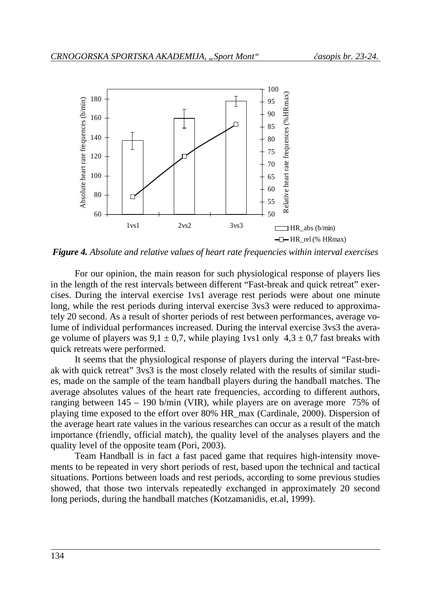

*Figure 4. Absolute and relative values of heart rate frequencies within interval exercises* 

For our opinion, the main reason for such physiological response of players lies in the length of the rest intervals between different "Fast-break and quick retreat" exercises. During the interval exercise 1vs1 average rest periods were about one minute long, while the rest periods during interval exercise 3vs3 were reduced to approximately 20 second. As a result of shorter periods of rest between performances, average volume of individual performances increased. During the interval exercise 3vs3 the average volume of players was  $9.1 \pm 0.7$ , while playing 1vs1 only  $4.3 \pm 0.7$  fast breaks with quick retreats were performed.

It seems that the physiological response of players during the interval "Fast-break with quick retreat" 3vs3 is the most closely related with the results of similar studies, made on the sample of the team handball players during the handball matches. The average absolutes values of the heart rate frequencies, according to different authors, ranging between 145 – 190 b/min (VIR), while players are on average more 75% of playing time exposed to the effort over 80% HR\_max (Cardinale, 2000). Dispersion of the average heart rate values in the various researches can occur as a result of the match importance (friendly, official match), the quality level of the analyses players and the quality level of the opposite team (Pori, 2003).

Team Handball is in fact a fast paced game that requires high-intensity movements to be repeated in very short periods of rest, based upon the technical and tactical situations. Portions between loads and rest periods, according to some previous studies showed, that those two intervals repeatedly exchanged in approximately 20 second long periods, during the handball matches (Kotzamanidis, et.al, 1999).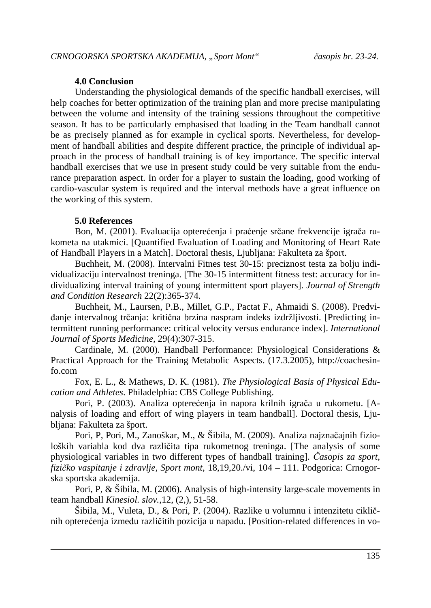#### **4.0 Conclusion**

Understanding the physiological demands of the specific handball exercises, will help coaches for better optimization of the training plan and more precise manipulating between the volume and intensity of the training sessions throughout the competitive season. It has to be particularly emphasised that loading in the Team handball cannot be as precisely planned as for example in cyclical sports. Nevertheless, for development of handball abilities and despite different practice, the principle of individual approach in the process of handball training is of key importance. The specific interval handball exercises that we use in present study could be very suitable from the endurance preparation aspect. In order for a player to sustain the loading, good working of cardio-vascular system is required and the interval methods have a great influence on the working of this system.

### **5.0 References**

 Bon, M. (2001). Evaluacija opterećenja i praćenje srčane frekvencije igrača rukometa na utakmici. [Quantified Evaluation of Loading and Monitoring of Heart Rate of Handball Players in a Match]. Doctoral thesis, Ljubljana: Fakulteta za šport.

 Buchheit, M. (2008). Intervalni Fitnes test 30-15: preciznost testa za bolju individualizaciju intervalnost treninga. [The 30-15 intermittent fitness test: accuracy for individualizing interval training of young intermittent sport players]. *Journal of Strength and Condition Research* 22(2):365-374.

 Buchheit, M., Laursen, P.B., Millet, G.P., Pactat F., Ahmaidi S. (2008). Predviđanje intervalnog trčanja: kritična brzina naspram indeks izdržljivosti. [Predicting intermittent running performance: critical velocity versus endurance index]. *International Journal of Sports Medicine,* 29(4):307-315.

 Cardinale, M. (2000). Handball Performance: Physiological Considerations & Practical Approach for the Training Metabolic Aspects. (17.3.2005), http://coachesinfo.com

 Fox, E. L., & Mathews, D. K. (1981). *The Physiological Basis of Physical Education and Athletes*. Philadelphia: CBS College Publishing.

 Pori, P. (2003). Analiza opterećenja in napora krilnih igrača u rukometu. [Analysis of loading and effort of wing players in team handball]. Doctoral thesis, Ljubljana: Fakulteta za šport.

 Pori, P, Pori, M., Zanoškar, M., & Šibila, M. (2009). Analiza najznačajnih fizioloških variabla kod dva različita tipa rukometnog treninga. [The analysis of some physiological variables in two different types of handball training]. *Časopis za sport, fizičko vaspitanje i zdravlje, Sport mont*, 18,19,20./vi, 104 – 111. Podgorica: Crnogorska sportska akademija.

 Pori, P, & Šibila, M. (2006). Analysis of high-intensity large-scale movements in team handball *Kinesiol. slov.*,12, (2,), 51-58.

 Šibila, M., Vuleta, D., & Pori, P. (2004). Razlike u volumnu i intenzitetu cikličnih opterećenja između različitih pozicija u napadu. [Position-related differences in vo